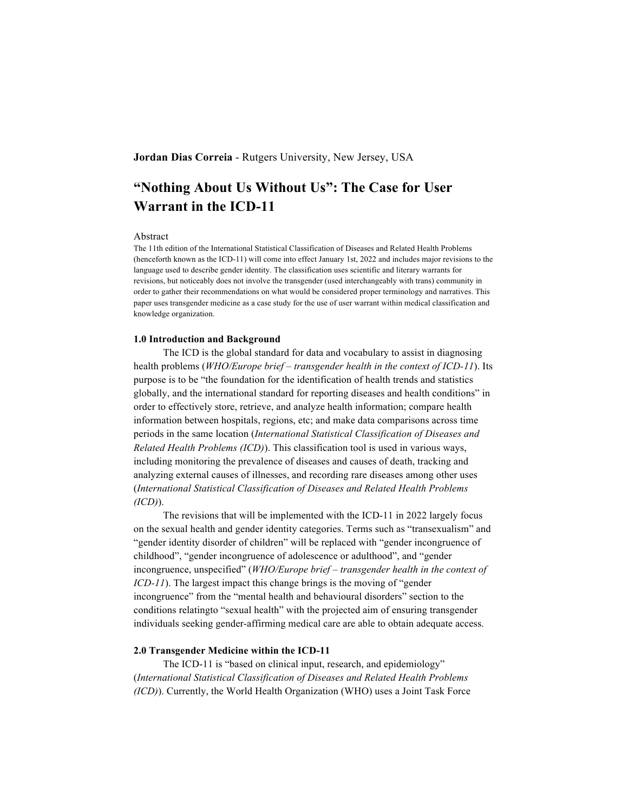# **Jordan Dias Correia** - Rutgers University, New Jersey, USA

# **"Nothing About Us Without Us": The Case for User Warrant in the ICD-11**

#### Abstract

The 11th edition of the International Statistical Classification of Diseases and Related Health Problems (henceforth known as the ICD-11) will come into effect January 1st, 2022 and includes major revisions to the language used to describe gender identity. The classification uses scientific and literary warrants for revisions, but noticeably does not involve the transgender (used interchangeably with trans) community in order to gather their recommendations on what would be considered proper terminology and narratives. This paper uses transgender medicine as a case study for the use of user warrant within medical classification and knowledge organization.

## **1.0 Introduction and Background**

The ICD is the global standard for data and vocabulary to assist in diagnosing health problems (*WHO/Europe brief – transgender health in the context of ICD-11*). Its purpose is to be "the foundation for the identification of health trends and statistics globally, and the international standard for reporting diseases and health conditions" in order to effectively store, retrieve, and analyze health information; compare health information between hospitals, regions, etc; and make data comparisons across time periods in the same location (*International Statistical Classification of Diseases and Related Health Problems (ICD)*). This classification tool is used in various ways, including monitoring the prevalence of diseases and causes of death, tracking and analyzing external causes of illnesses, and recording rare diseases among other uses (*International Statistical Classification of Diseases and Related Health Problems (ICD)*).

The revisions that will be implemented with the ICD-11 in 2022 largely focus on the sexual health and gender identity categories. Terms such as "transexualism" and "gender identity disorder of children" will be replaced with "gender incongruence of childhood", "gender incongruence of adolescence or adulthood", and "gender incongruence, unspecified" (*WHO/Europe brief – transgender health in the context of ICD-11*). The largest impact this change brings is the moving of "gender" incongruence" from the "mental health and behavioural disorders" section to the conditions relatingto "sexual health" with the projected aim of ensuring transgender individuals seeking gender-affirming medical care are able to obtain adequate access.

#### **2.0 Transgender Medicine within the ICD-11**

The ICD-11 is "based on clinical input, research, and epidemiology" (*International Statistical Classification of Diseases and Related Health Problems (ICD)*). Currently, the World Health Organization (WHO) uses a Joint Task Force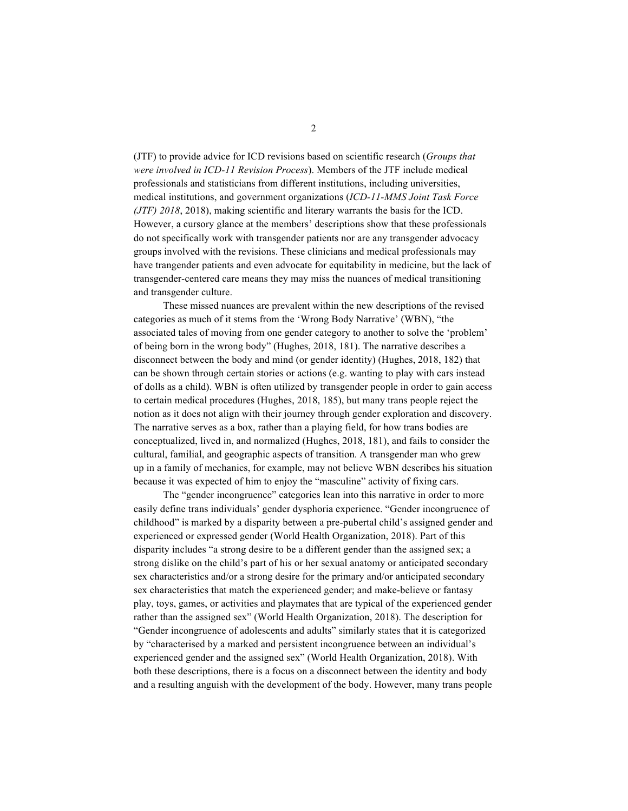(JTF) to provide advice for ICD revisions based on scientific research (*Groups that were involved in ICD-11 Revision Process*). Members of the JTF include medical professionals and statisticians from different institutions, including universities, medical institutions, and government organizations (*ICD-11-MMS Joint Task Force (JTF) 2018*, 2018), making scientific and literary warrants the basis for the ICD. However, a cursory glance at the members' descriptions show that these professionals do not specifically work with transgender patients nor are any transgender advocacy groups involved with the revisions. These clinicians and medical professionals may have trangender patients and even advocate for equitability in medicine, but the lack of transgender-centered care means they may miss the nuances of medical transitioning and transgender culture.

These missed nuances are prevalent within the new descriptions of the revised categories as much of it stems from the 'Wrong Body Narrative' (WBN), "the associated tales of moving from one gender category to another to solve the 'problem' of being born in the wrong body" (Hughes, 2018, 181). The narrative describes a disconnect between the body and mind (or gender identity) (Hughes, 2018, 182) that can be shown through certain stories or actions (e.g. wanting to play with cars instead of dolls as a child). WBN is often utilized by transgender people in order to gain access to certain medical procedures (Hughes, 2018, 185), but many trans people reject the notion as it does not align with their journey through gender exploration and discovery. The narrative serves as a box, rather than a playing field, for how trans bodies are conceptualized, lived in, and normalized (Hughes, 2018, 181), and fails to consider the cultural, familial, and geographic aspects of transition. A transgender man who grew up in a family of mechanics, for example, may not believe WBN describes his situation because it was expected of him to enjoy the "masculine" activity of fixing cars.

The "gender incongruence" categories lean into this narrative in order to more easily define trans individuals' gender dysphoria experience. "Gender incongruence of childhood" is marked by a disparity between a pre-pubertal child's assigned gender and experienced or expressed gender (World Health Organization, 2018). Part of this disparity includes "a strong desire to be a different gender than the assigned sex; a strong dislike on the child's part of his or her sexual anatomy or anticipated secondary sex characteristics and/or a strong desire for the primary and/or anticipated secondary sex characteristics that match the experienced gender; and make-believe or fantasy play, toys, games, or activities and playmates that are typical of the experienced gender rather than the assigned sex" (World Health Organization, 2018). The description for "Gender incongruence of adolescents and adults" similarly states that it is categorized by "characterised by a marked and persistent incongruence between an individual's experienced gender and the assigned sex" (World Health Organization, 2018). With both these descriptions, there is a focus on a disconnect between the identity and body and a resulting anguish with the development of the body. However, many trans people

2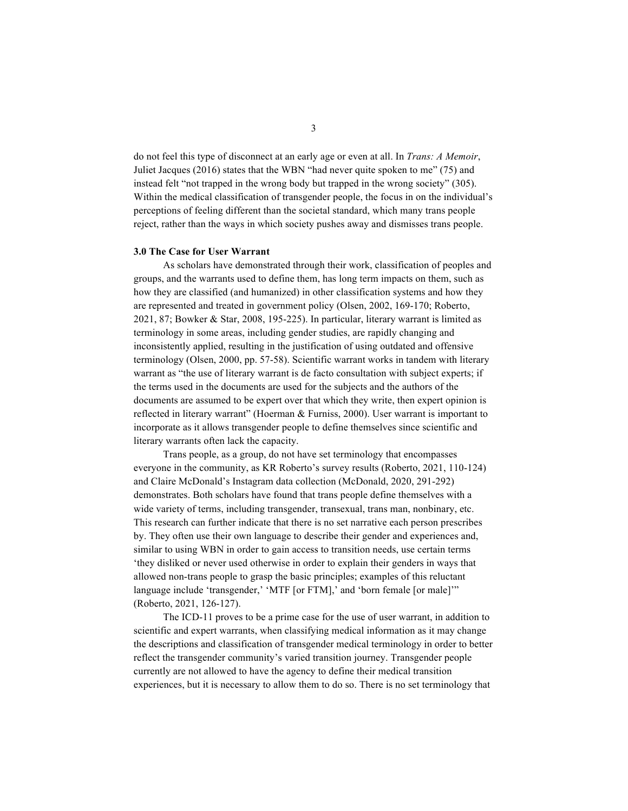do not feel this type of disconnect at an early age or even at all. In *Trans: A Memoir*, Juliet Jacques (2016) states that the WBN "had never quite spoken to me" (75) and instead felt "not trapped in the wrong body but trapped in the wrong society" (305). Within the medical classification of transgender people, the focus in on the individual's perceptions of feeling different than the societal standard, which many trans people reject, rather than the ways in which society pushes away and dismisses trans people.

### **3.0 The Case for User Warrant**

As scholars have demonstrated through their work, classification of peoples and groups, and the warrants used to define them, has long term impacts on them, such as how they are classified (and humanized) in other classification systems and how they are represented and treated in government policy (Olsen, 2002, 169-170; Roberto, 2021, 87; Bowker & Star, 2008, 195-225). In particular, literary warrant is limited as terminology in some areas, including gender studies, are rapidly changing and inconsistently applied, resulting in the justification of using outdated and offensive terminology (Olsen, 2000, pp. 57-58). Scientific warrant works in tandem with literary warrant as "the use of literary warrant is de facto consultation with subject experts; if the terms used in the documents are used for the subjects and the authors of the documents are assumed to be expert over that which they write, then expert opinion is reflected in literary warrant" (Hoerman & Furniss, 2000). User warrant is important to incorporate as it allows transgender people to define themselves since scientific and literary warrants often lack the capacity.

Trans people, as a group, do not have set terminology that encompasses everyone in the community, as KR Roberto's survey results (Roberto, 2021, 110-124) and Claire McDonald's Instagram data collection (McDonald, 2020, 291-292) demonstrates. Both scholars have found that trans people define themselves with a wide variety of terms, including transgender, transexual, trans man, nonbinary, etc. This research can further indicate that there is no set narrative each person prescribes by. They often use their own language to describe their gender and experiences and, similar to using WBN in order to gain access to transition needs, use certain terms 'they disliked or never used otherwise in order to explain their genders in ways that allowed non-trans people to grasp the basic principles; examples of this reluctant language include 'transgender,' 'MTF [or FTM],' and 'born female [or male]'" (Roberto, 2021, 126-127).

The ICD-11 proves to be a prime case for the use of user warrant, in addition to scientific and expert warrants, when classifying medical information as it may change the descriptions and classification of transgender medical terminology in order to better reflect the transgender community's varied transition journey. Transgender people currently are not allowed to have the agency to define their medical transition experiences, but it is necessary to allow them to do so. There is no set terminology that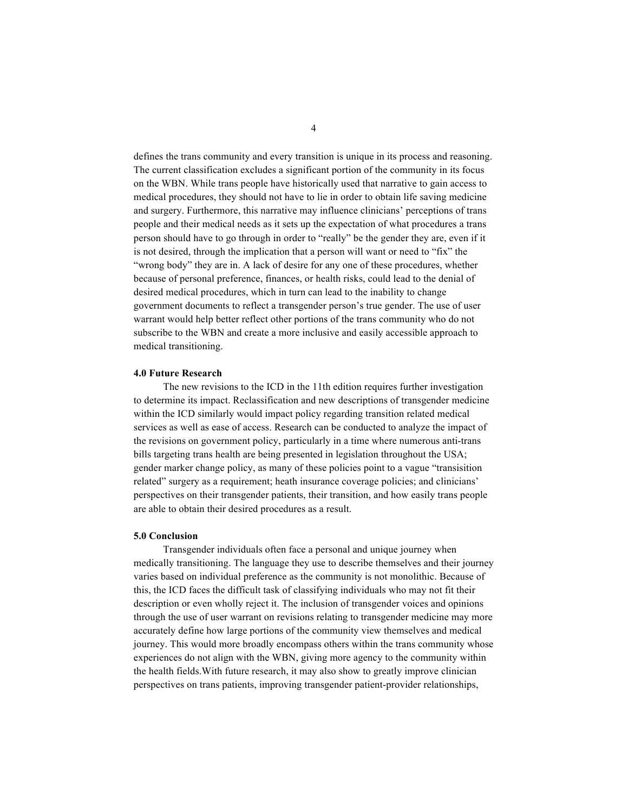defines the trans community and every transition is unique in its process and reasoning. The current classification excludes a significant portion of the community in its focus on the WBN. While trans people have historically used that narrative to gain access to medical procedures, they should not have to lie in order to obtain life saving medicine and surgery. Furthermore, this narrative may influence clinicians' perceptions of trans people and their medical needs as it sets up the expectation of what procedures a trans person should have to go through in order to "really" be the gender they are, even if it is not desired, through the implication that a person will want or need to "fix" the "wrong body" they are in. A lack of desire for any one of these procedures, whether because of personal preference, finances, or health risks, could lead to the denial of desired medical procedures, which in turn can lead to the inability to change government documents to reflect a transgender person's true gender. The use of user warrant would help better reflect other portions of the trans community who do not subscribe to the WBN and create a more inclusive and easily accessible approach to medical transitioning.

#### **4.0 Future Research**

The new revisions to the ICD in the 11th edition requires further investigation to determine its impact. Reclassification and new descriptions of transgender medicine within the ICD similarly would impact policy regarding transition related medical services as well as ease of access. Research can be conducted to analyze the impact of the revisions on government policy, particularly in a time where numerous anti-trans bills targeting trans health are being presented in legislation throughout the USA; gender marker change policy, as many of these policies point to a vague "transisition related" surgery as a requirement; heath insurance coverage policies; and clinicians' perspectives on their transgender patients, their transition, and how easily trans people are able to obtain their desired procedures as a result.

#### **5.0 Conclusion**

Transgender individuals often face a personal and unique journey when medically transitioning. The language they use to describe themselves and their journey varies based on individual preference as the community is not monolithic. Because of this, the ICD faces the difficult task of classifying individuals who may not fit their description or even wholly reject it. The inclusion of transgender voices and opinions through the use of user warrant on revisions relating to transgender medicine may more accurately define how large portions of the community view themselves and medical journey. This would more broadly encompass others within the trans community whose experiences do not align with the WBN, giving more agency to the community within the health fields.With future research, it may also show to greatly improve clinician perspectives on trans patients, improving transgender patient-provider relationships,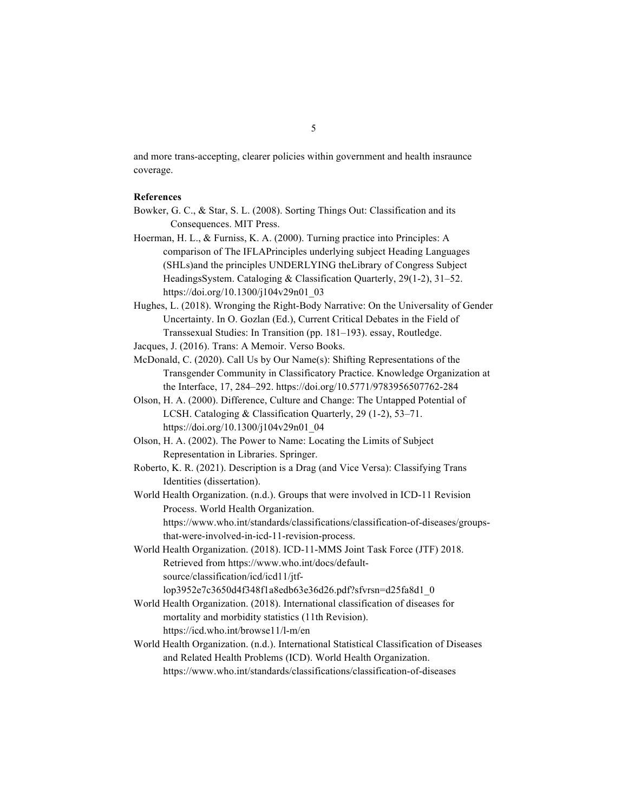and more trans-accepting, clearer policies within government and health insraunce coverage.

# **References**

- Bowker, G. C., & Star, S. L. (2008). Sorting Things Out: Classification and its Consequences. MIT Press.
- Hoerman, H. L., & Furniss, K. A. (2000). Turning practice into Principles: A comparison of The IFLAPrinciples underlying subject Heading Languages (SHLs)and the principles UNDERLYING theLibrary of Congress Subject HeadingsSystem. Cataloging & Classification Quarterly, 29(1-2), 31–52. https://doi.org/10.1300/j104v29n01\_03
- Hughes, L. (2018). Wronging the Right-Body Narrative: On the Universality of Gender Uncertainty. In O. Gozlan (Ed.), Current Critical Debates in the Field of Transsexual Studies: In Transition (pp. 181–193). essay, Routledge.

Jacques, J. (2016). Trans: A Memoir. Verso Books.

- McDonald, C. (2020). Call Us by Our Name(s): Shifting Representations of the Transgender Community in Classificatory Practice. Knowledge Organization at the Interface, 17, 284–292. https://doi.org/10.5771/9783956507762-284
- Olson, H. A. (2000). Difference, Culture and Change: The Untapped Potential of LCSH. Cataloging & Classification Quarterly, 29 (1-2), 53–71. https://doi.org/10.1300/j104v29n01\_04
- Olson, H. A. (2002). The Power to Name: Locating the Limits of Subject Representation in Libraries. Springer.
- Roberto, K. R. (2021). Description is a Drag (and Vice Versa): Classifying Trans Identities (dissertation).
- World Health Organization. (n.d.). Groups that were involved in ICD-11 Revision Process. World Health Organization. https://www.who.int/standards/classifications/classification-of-diseases/groupsthat-were-involved-in-icd-11-revision-process.
- World Health Organization. (2018). ICD-11-MMS Joint Task Force (JTF) 2018. Retrieved from https://www.who.int/docs/defaultsource/classification/icd/icd11/jtflop3952e7c3650d4f348f1a8edb63e36d26.pdf?sfvrsn=d25fa8d1\_0
- World Health Organization. (2018). International classification of diseases for mortality and morbidity statistics (11th Revision). https://icd.who.int/browse11/l-m/en
- World Health Organization. (n.d.). International Statistical Classification of Diseases and Related Health Problems (ICD). World Health Organization. https://www.who.int/standards/classifications/classification-of-diseases